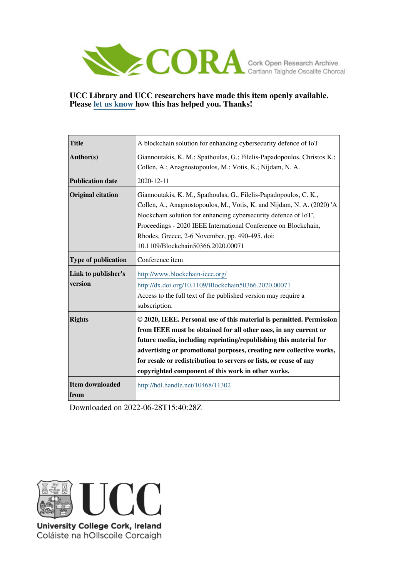

## **UCC Library and UCC researchers have made this item openly available. Please [let us know h](https://libguides.ucc.ie/openaccess/impact?suffix=11302&title=A blockchain solution for enhancing cybersecurity defence of IoT)ow this has helped you. Thanks!**

| <b>Title</b>                   | A blockchain solution for enhancing cybersecurity defence of IoT                                                                                                                                                                                                                                                                                                                                                |
|--------------------------------|-----------------------------------------------------------------------------------------------------------------------------------------------------------------------------------------------------------------------------------------------------------------------------------------------------------------------------------------------------------------------------------------------------------------|
| Author(s)                      | Giannoutakis, K. M.; Spathoulas, G.; Filelis-Papadopoulos, Christos K.;<br>Collen, A.; Anagnostopoulos, M.; Votis, K.; Nijdam, N. A.                                                                                                                                                                                                                                                                            |
| <b>Publication date</b>        | 2020-12-11                                                                                                                                                                                                                                                                                                                                                                                                      |
| <b>Original citation</b>       | Giannoutakis, K. M., Spathoulas, G., Filelis-Papadopoulos, C. K.,<br>Collen, A., Anagnostopoulos, M., Votis, K. and Nijdam, N. A. (2020) 'A<br>blockchain solution for enhancing cybersecurity defence of IoT',<br>Proceedings - 2020 IEEE International Conference on Blockchain,<br>Rhodes, Greece, 2-6 November, pp. 490-495. doi:<br>10.1109/Blockchain50366.2020.00071                                     |
| Type of publication            | Conference item                                                                                                                                                                                                                                                                                                                                                                                                 |
| Link to publisher's<br>version | http://www.blockchain-ieee.org/<br>http://dx.doi.org/10.1109/Blockchain50366.2020.00071<br>Access to the full text of the published version may require a<br>subscription.                                                                                                                                                                                                                                      |
| <b>Rights</b>                  | © 2020, IEEE. Personal use of this material is permitted. Permission<br>from IEEE must be obtained for all other uses, in any current or<br>future media, including reprinting/republishing this material for<br>advertising or promotional purposes, creating new collective works,<br>for resale or redistribution to servers or lists, or reuse of any<br>copyrighted component of this work in other works. |
| Item downloaded<br>from        | http://hdl.handle.net/10468/11302                                                                                                                                                                                                                                                                                                                                                                               |

Downloaded on 2022-06-28T15:40:28Z



University College Cork, Ireland Coláiste na hOllscoile Corcaigh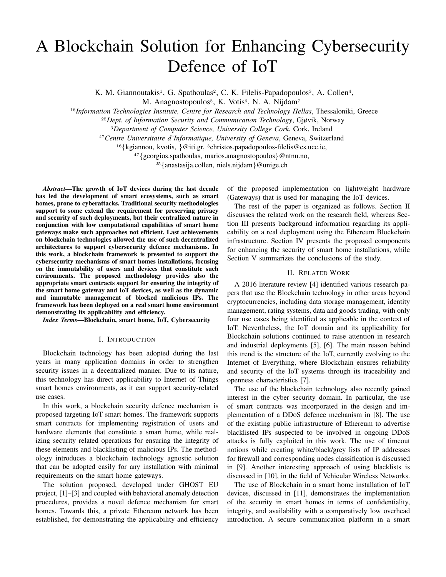# A Blockchain Solution for Enhancing Cybersecurity Defence of IoT

K. M. Giannoutakis<sup>1</sup>, G. Spathoulas<sup>2</sup>, C. K. Filelis-Papadopoulos<sup>3</sup>, A. Collen<sup>4</sup>,

M. Anagnostopoulos<sup>5</sup>, K. Votis<sup>6</sup>, N. A. Nijdam<sup>7</sup>

<sup>16</sup>*Information Technologies Institute, Centre for Research and Technology Hellas*, Thessaloniki, Greece

<sup>25</sup>*Dept. of Information Security and Communication Technology*, Gjøvik, Norway

<sup>3</sup>*Department of Computer Science, University College Cork*, Cork, Ireland

<sup>47</sup>*Centre Universitaire d'Informatique, University of Geneva*, Geneva, Switzerland

<sup>16</sup>{kgiannou, kvotis, }@iti.gr, <sup>3</sup>christos.papadopoulos-filelis@cs.ucc.ie,

<sup>47</sup>{georgios.spathoulas, marios.anagnostopoulos}@ntnu.no,

<sup>25</sup>{anastasija.collen, niels.nijdam}@unige.ch

*Abstract*—The growth of IoT devices during the last decade has led the development of smart ecosystems, such as smart homes, prone to cyberattacks. Traditional security methodologies support to some extend the requirement for preserving privacy and security of such deployments, but their centralized nature in conjunction with low computational capabilities of smart home gateways make such approaches not efficient. Last achievements on blockchain technologies allowed the use of such decentralized architectures to support cybersecurity defence mechanisms. In this work, a blockchain framework is presented to support the cybersecurity mechanisms of smart homes installations, focusing on the immutability of users and devices that constitute such environments. The proposed methodology provides also the appropriate smart contracts support for ensuring the integrity of the smart home gateway and IoT devices, as well as the dynamic and immutable management of blocked malicious IPs. The framework has been deployed on a real smart home environment demonstrating its applicability and efficiency.

*Index Terms*—Blockchain, smart home, IoT, Cybersecurity

#### I. INTRODUCTION

Blockchain technology has been adopted during the last years in many application domains in order to strengthen security issues in a decentralized manner. Due to its nature, this technology has direct applicability to Internet of Things smart homes environments, as it can support security-related use cases.

In this work, a blockchain security defence mechanism is proposed targeting IoT smart homes. The framework supports smart contracts for implementing registration of users and hardware elements that constitute a smart home, while realizing security related operations for ensuring the integrity of these elements and blacklisting of malicious IPs. The methodology introduces a blockchain technology agnostic solution that can be adopted easily for any installation with minimal requirements on the smart home gateways.

The solution proposed, developed under GHOST EU project, [1]–[3] and coupled with behavioral anomaly detection procedures, provides a novel defence mechanism for smart homes. Towards this, a private Ethereum network has been established, for demonstrating the applicability and efficiency of the proposed implementation on lightweight hardware (Gateways) that is used for managing the IoT devices.

The rest of the paper is organized as follows. Section II discusses the related work on the research field, whereas Section III presents background information regarding its applicability on a real deployment using the Ethereum Blockchain infrastructure. Section IV presents the proposed components for enhancing the security of smart home installations, while Section V summarizes the conclusions of the study.

#### II. RELATED WORK

A 2016 literature review [4] identified various research papers that use the Blockchain technology in other areas beyond cryptocurrencies, including data storage management, identity management, rating systems, data and goods trading, with only four use cases being identified as applicable in the context of IoT. Nevertheless, the IoT domain and its applicability for Blockchain solutions continued to raise attention in research and industrial deployments [5], [6]. The main reason behind this trend is the structure of the IoT, currently evolving to the Internet of Everything, where Blockchain ensures reliability and security of the IoT systems through its traceability and openness characteristics [7].

The use of the blockchain technology also recently gained interest in the cyber security domain. In particular, the use of smart contracts was incorporated in the design and implementation of a DDoS defence mechanism in [8]. The use of the existing public infrastructure of Ethereum to advertise blacklisted IPs suspected to be involved in ongoing DDoS attacks is fully exploited in this work. The use of timeout notions while creating white/black/grey lists of IP addresses for firewall and corresponding nodes classification is discussed in [9]. Another interesting approach of using blacklists is discussed in [10], in the field of Vehicular Wireless Networks.

The use of Blockchain in a smart home installation of IoT devices, discussed in [11], demonstrates the implementation of the security in smart homes in terms of confidentiality, integrity, and availability with a comparatively low overhead introduction. A secure communication platform in a smart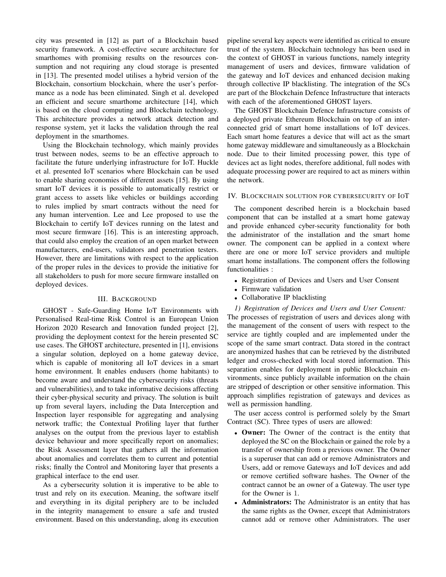city was presented in [12] as part of a Blockchain based security framework. A cost-effective secure architecture for smarthomes with promising results on the resources consumption and not requiring any cloud storage is presented in [13]. The presented model utilises a hybrid version of the Blockchain, consortium blockchain, where the user's performance as a node has been eliminated. Singh et al. developed an efficient and secure smarthome architecture [14], which is based on the cloud computing and Blockchain technology. This architecture provides a network attack detection and response system, yet it lacks the validation through the real deployment in the smarthomes.

Using the Blockchain technology, which mainly provides trust between nodes, seems to be an effective approach to facilitate the future underlying infrastructure for IoT. Huckle et al. presented IoT scenarios where Blockchain can be used to enable sharing economies of different assets [15]. By using smart IoT devices it is possible to automatically restrict or grant access to assets like vehicles or buildings according to rules implied by smart contracts without the need for any human intervention. Lee and Lee proposed to use the Blockchain to certify IoT devices running on the latest and most secure firmware [16]. This is an interesting approach, that could also employ the creation of an open market between manufacturers, end-users, validators and penetration testers. However, there are limitations with respect to the application of the proper rules in the devices to provide the initiative for all stakeholders to push for more secure firmware installed on deployed devices.

### III. BACKGROUND

GHOST - Safe-Guarding Home IoT Environments with Personalised Real-time Risk Control is an European Union Horizon 2020 Research and Innovation funded project [2], providing the deployment context for the herein presented SC use cases. The GHOST architecture, presented in [1], envisions a singular solution, deployed on a home gateway device, which is capable of monitoring all IoT devices in a smart home environment. It enables endusers (home habitants) to become aware and understand the cybersecurity risks (threats and vulnerabilities), and to take informative decisions affecting their cyber-physical security and privacy. The solution is built up from several layers, including the Data Interception and Inspection layer responsible for aggregating and analysing network traffic; the Contextual Profiling layer that further analyses on the output from the previous layer to establish device behaviour and more specifically report on anomalies; the Risk Assessment layer that gathers all the information about anomalies and correlates them to current and potential risks; finally the Control and Monitoring layer that presents a graphical interface to the end user.

As a cybersecurity solution it is imperative to be able to trust and rely on its execution. Meaning, the software itself and everything in its digital periphery are to be included in the integrity management to ensure a safe and trusted environment. Based on this understanding, along its execution pipeline several key aspects were identified as critical to ensure trust of the system. Blockchain technology has been used in the context of GHOST in various functions, namely integrity management of users and devices, firmware validation of the gateway and IoT devices and enhanced decision making through collective IP blacklisting. The integration of the SCs are part of the Blockchain Defence Infrastructure that interacts with each of the aforementioned GHOST layers.

The GHOST Blockchain Defence Infrastructure consists of a deployed private Ethereum Blockchain on top of an interconnected grid of smart home installations of IoT devices. Each smart home features a device that will act as the smart home gateway middleware and simultaneously as a Blockchain node. Due to their limited processing power, this type of devices act as light nodes, therefore additional, full nodes with adequate processing power are required to act as miners within the network.

#### IV. BLOCKCHAIN SOLUTION FOR CYBERSECURITY OF IOT

The component described herein is a blockchain based component that can be installed at a smart home gateway and provide enhanced cyber-security functionality for both the administrator of the installation and the smart home owner. The component can be applied in a context where there are one or more IoT service providers and multiple smart home installations. The component offers the following functionalities :

- Registration of Devices and Users and User Consent
- Firmware validation
- Collaborative IP blacklisting

*1) Registration of Devices and Users and User Consent:* The processes of registration of users and devices along with the management of the consent of users with respect to the service are tightly coupled and are implemented under the scope of the same smart contract. Data stored in the contract are anonymized hashes that can be retrieved by the distributed ledger and cross-checked with local stored information. This separation enables for deployment in public Blockchain environments, since publicly available information on the chain are stripped of description or other sensitive information. This approach simplifies registration of gateways and devices as well as permission handling.

The user access control is performed solely by the Smart Contract (SC). Three types of users are allowed:

- Owner: The Owner of the contract is the entity that deployed the SC on the Blockchain or gained the role by a transfer of ownership from a previous owner. The Owner is a superuser that can add or remove Administrators and Users, add or remove Gateways and IoT devices and add or remove certified software hashes. The Owner of the contract cannot be an owner of a Gateway. The user type for the Owner is 1.
- **Administrators:** The Administrator is an entity that has the same rights as the Owner, except that Administrators cannot add or remove other Administrators. The user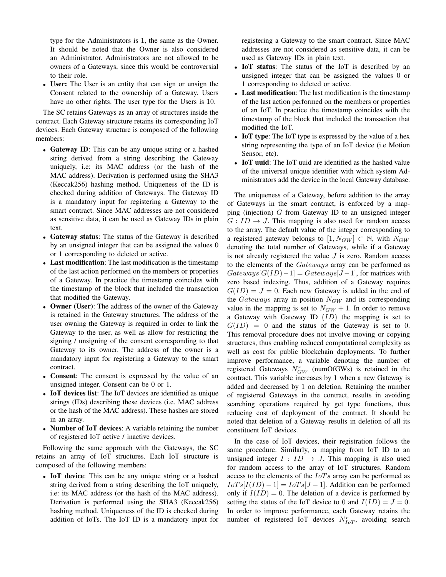type for the Administrators is 1, the same as the Owner. It should be noted that the Owner is also considered an Administrator. Administrators are not allowed to be owners of a Gateways, since this would be controversial to their role.

• User: The User is an entity that can sign or unsign the Consent related to the ownership of a Gateway. Users have no other rights. The user type for the Users is 10.

The SC retains Gateways as an array of structures inside the contract. Each Gateway structure retains its corresponding IoT devices. Each Gateway structure is composed of the following members:

- Gateway ID: This can be any unique string or a hashed string derived from a string describing the Gateway uniquely, i.e: its MAC address (or the hash of the MAC address). Derivation is performed using the SHA3 (Keccak256) hashing method. Uniqueness of the ID is checked during addition of Gateways. The Gateway ID is a mandatory input for registering a Gateway to the smart contract. Since MAC addresses are not considered as sensitive data, it can be used as Gateway IDs in plain text.
- Gateway status: The status of the Gateway is described by an unsigned integer that can be assigned the values 0 or 1 corresponding to deleted or active.
- Last modification: The last modification is the timestamp of the last action performed on the members or properties of a Gateway. In practice the timestamp coincides with the timestamp of the block that included the transaction that modified the Gateway.
- Owner (User): The address of the owner of the Gateway is retained in the Gateway structures. The address of the user owning the Gateway is required in order to link the Gateway to the user, as well as allow for restricting the signing / unsigning of the consent corresponding to that Gateway to its owner. The address of the owner is a mandatory input for registering a Gateway to the smart contract.
- Consent: The consent is expressed by the value of an unsigned integer. Consent can be 0 or 1.
- IoT devices list: The IoT devices are identified as unique strings (IDs) describing these devices (i.e. MAC address or the hash of the MAC address). These hashes are stored in an array.
- Number of IoT devices: A variable retaining the number of registered IoT active / inactive devices.

Following the same approach with the Gateways, the SC retains an array of IoT structures. Each IoT structure is composed of the following members:

• IoT device: This can be any unique string or a hashed string derived from a string describing the IoT uniquely, i.e: its MAC address (or the hash of the MAC address). Derivation is performed using the SHA3 (Keccak256) hashing method. Uniqueness of the ID is checked during addition of IoTs. The IoT ID is a mandatory input for

registering a Gateway to the smart contract. Since MAC addresses are not considered as sensitive data, it can be used as Gateway IDs in plain text.

- IoT status: The status of the IoT is described by an unsigned integer that can be assigned the values 0 or 1 corresponding to deleted or active.
- Last modification: The last modification is the timestamp of the last action performed on the members or properties of an IoT. In practice the timestamp coincides with the timestamp of the block that included the transaction that modified the IoT.
- IoT type: The IoT type is expressed by the value of a hex string representing the type of an IoT device (i.e Motion Sensor, etc).
- IoT uuid: The IoT uuid are identified as the hashed value of the universal unique identifier with which system Administrators add the device in the local Gateway database.

The uniqueness of a Gateway, before addition to the array of Gateways in the smart contract, is enforced by a mapping (injection)  $G$  from Gateway ID to an unsigned integer  $G: ID \rightarrow J$ . This mapping is also used for random access to the array. The default value of the integer corresponding to a registered gateway belongs to  $[1, N_{GW}] \subset \mathbb{N}$ , with  $N_{GW}$ denoting the total number of Gateways, while if a Gateway is not already registered the value  $J$  is zero. Random access to the elements of the Gateways array can be performed as  $Gateways[G(ID)-1] = Gateways[J-1]$ , for matrices with zero based indexing. Thus, addition of a Gateway requires  $G(ID) = J = 0$ . Each new Gateway is added in the end of the Gateways array in position  $N_{GW}$  and its corresponding value in the mapping is set to  $N_{GW} + 1$ . In order to remove a Gateway with Gateway ID  $(ID)$  the mapping is set to  $G(ID) = 0$  and the status of the Gateway is set to 0. This removal procedure does not involve moving or copying structures, thus enabling reduced computational complexity as well as cost for public blockchain deployments. To further improve performance, a variable denoting the number of registered Gateways  $N_{GW}^r$  (numOfGWs) is retained in the contract. This variable increases by 1 when a new Gateway is added and decreased by 1 on deletion. Retaining the number of registered Gateways in the contract, results in avoiding searching operations required by get type functions, thus reducing cost of deployment of the contract. It should be noted that deletion of a Gateway results in deletion of all its constituent IoT devices.

In the case of IoT devices, their registration follows the same procedure. Similarly, a mapping from IoT ID to an unsigned integer  $I : ID \rightarrow J$ . This mapping is also used for random access to the array of IoT structures. Random access to the elements of the  $IoTs$  array can be performed as  $I \circ T \circ [I(ID) - 1] = I \circ T \circ [J - 1]$ . Addition can be performed only if  $I(ID) = 0$ . The deletion of a device is performed by setting the status of the IoT device to 0 and  $I(ID) = J = 0$ . In order to improve performance, each Gateway retains the number of registered IoT devices  $N_{IoT}^r$ , avoiding search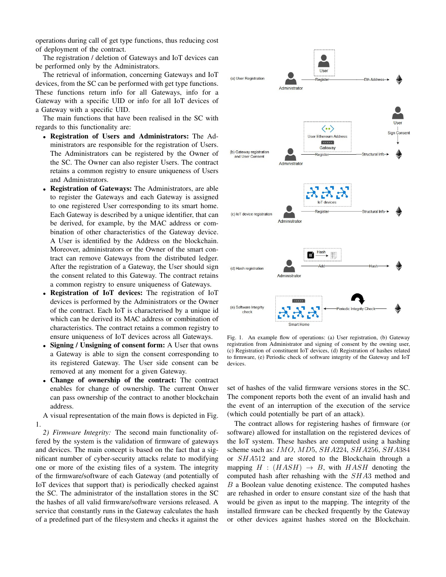operations during call of get type functions, thus reducing cost of deployment of the contract.

The registration / deletion of Gateways and IoT devices can be performed only by the Administrators.

The retrieval of information, concerning Gateways and IoT devices, from the SC can be performed with get type functions. These functions return info for all Gateways, info for a Gateway with a specific UID or info for all IoT devices of a Gateway with a specific UID.

The main functions that have been realised in the SC with regards to this functionality are:

- Registration of Users and Administrators: The Administrators are responsible for the registration of Users. The Administrators can be registered by the Owner of the SC. The Owner can also register Users. The contract retains a common registry to ensure uniqueness of Users and Administrators.
- Registration of Gateways: The Administrators, are able to register the Gateways and each Gateway is assigned to one registered User corresponding to its smart home. Each Gateway is described by a unique identifier, that can be derived, for example, by the MAC address or combination of other characteristics of the Gateway device. A User is identified by the Address on the blockchain. Moreover, administrators or the Owner of the smart contract can remove Gateways from the distributed ledger. After the registration of a Gateway, the User should sign the consent related to this Gateway. The contract retains a common registry to ensure uniqueness of Gateways.
- Registration of IoT devices: The registration of IoT devices is performed by the Administrators or the Owner of the contract. Each IoT is characterised by a unique id which can be derived its MAC address or combination of characteristics. The contract retains a common registry to ensure uniqueness of IoT devices across all Gateways.
- Signing / Unsigning of consent form: A User that owns a Gateway is able to sign the consent corresponding to its registered Gateway. The User side consent can be removed at any moment for a given Gateway.
- Change of ownership of the contract: The contract enables for change of ownership. The current Onwer can pass ownership of the contract to another blockchain address.

A visual representation of the main flows is depicted in Fig. 1.

*2) Firmware Integrity:* The second main functionality offered by the system is the validation of firmware of gateways and devices. The main concept is based on the fact that a significant number of cyber-security attacks relate to modifying one or more of the existing files of a system. The integrity of the firmware/software of each Gateway (and potentially of IoT devices that support that) is periodically checked against the SC. The administrator of the installation stores in the SC the hashes of all valid firmware/software versions released. A service that constantly runs in the Gateway calculates the hash of a predefined part of the filesystem and checks it against the



Fig. 1. An example flow of operations: (a) User registration, (b) Gateway registration from Administrator and signing of consent by the owning user, (c) Registration of constituent IoT devices, (d) Registration of hashes related to firmware, (e) Periodic check of software integrity of the Gateway and IoT devices.

set of hashes of the valid firmware versions stores in the SC. The component reports both the event of an invalid hash and the event of an interruption of the execution of the service (which could potentially be part of an attack).

The contract allows for registering hashes of firmware (or software) allowed for installation on the registered devices of the IoT system. These hashes are computed using a hashing scheme such as: *IMO*, *MD*<sub>5</sub>, *SHA*224, *SHA*256, *SHA*384 or SHA512 and are stored to the Blockchain through a mapping  $H : (HASH) \rightarrow B$ , with  $HASH$  denoting the computed hash after rehashing with the SHA3 method and B a Boolean value denoting existence. The computed hashes are rehashed in order to ensure constant size of the hash that would be given as input to the mapping. The integrity of the installed firmware can be checked frequently by the Gateway or other devices against hashes stored on the Blockchain.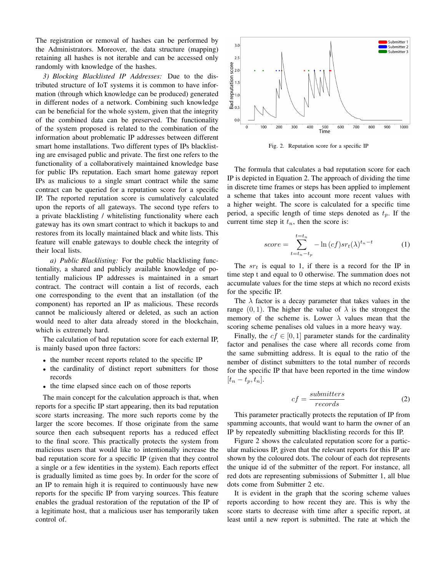The registration or removal of hashes can be performed by the Administrators. Moreover, the data structure (mapping) retaining all hashes is not iterable and can be accessed only randomly with knowledge of the hashes.

*3) Blocking Blacklisted IP Addresses:* Due to the distributed structure of IoT systems it is common to have information (through which knowledge can be produced) generated in different nodes of a network. Combining such knowledge can be beneficial for the whole system, given that the integrity of the combined data can be preserved. The functionality of the system proposed is related to the combination of the information about problematic IP addresses between different smart home installations. Two different types of IPs blacklisting are envisaged public and private. The first one refers to the functionality of a collaboratively maintained knowledge base for public IPs reputation. Each smart home gateway report IPs as malicious to a single smart contract while the same contract can be queried for a reputation score for a specific IP. The reported reputation score is cumulatively calculated upon the reports of all gateways. The second type refers to a private blacklisting / whitelisting functionality where each gateway has its own smart contract to which it backups to and restores from its locally maintained black and white lists. This feature will enable gateways to double check the integrity of their local lists.

*a) Public Blacklisting:* For the public blacklisting functionality, a shared and publicly available knowledge of potentially malicious IP addresses is maintained in a smart contract. The contract will contain a list of records, each one corresponding to the event that an installation (of the component) has reported an IP as malicious. These records cannot be maliciously altered or deleted, as such an action would need to alter data already stored in the blockchain, which is extremely hard.

The calculation of bad reputation score for each external IP, is mainly based upon three factors:

- the number recent reports related to the specific IP
- the cardinality of distinct report submitters for those records
- the time elapsed since each on of those reports

The main concept for the calculation approach is that, when reports for a specific IP start appearing, then its bad reputation score starts increasing. The more such reports come by the larger the score becomes. If those originate from the same source then each subsequent reports has a reduced effect to the final score. This practically protects the system from malicious users that would like to intentionally increase the bad reputation score for a specific IP (given that they control a single or a few identities in the system). Each reports effect is gradually limited as time goes by. In order for the score of an IP to remain high it is required to continuously have new reports for the specific IP from varying sources. This feature enables the gradual restoration of the reputation of the IP of a legitimate host, that a malicious user has temporarily taken control of.



Fig. 2. Reputation score for a specific IP

The formula that calculates a bad reputation score for each IP is depicted in Equation 2. The approach of dividing the time in discrete time frames or steps has been applied to implement a scheme that takes into account more recent values with a higher weight. The score is calculated for a specific time period, a specific length of time steps denoted as  $t_p$ . If the current time step it  $t_n$ , then the score is:

$$
score = \sum_{t=t_n-t_p}^{t=t_n} -\ln\left(cf\right)sr_t(\lambda)^{t_n-t} \tag{1}
$$

The  $sr_t$  is equal to 1, if there is a record for the IP in time step t and equal to 0 otherwise. The summation does not accumulate values for the time steps at which no record exists for the specific IP.

The  $\lambda$  factor is a decay parameter that takes values in the range  $(0, 1)$ . The higher the value of  $\lambda$  is the strongest the memory of the scheme is. Lower  $\lambda$  values mean that the scoring scheme penalises old values in a more heavy way.

Finally, the  $cf \in [0, 1]$  parameter stands for the cardinality factor and penalises the case where all records come from the same submitting address. It is equal to the ratio of the nember of distinct submitters to the total number of records for the specific IP that have been reported in the time window  $[t_n-t_p, t_n].$ 

$$
cf = \frac{submitters}{records} \tag{2}
$$

This parameter practically protects the reputation of IP from spamming accounts, that would want to harm the owner of an IP by repeatedly submitting blacklisting records for this IP.

Figure 2 shows the calculated reputation score for a particular malicious IP, given that the relevant reports for this IP are shown by the coloured dots. The colour of each dot represents the unique id of the submitter of the report. For instance, all red dots are representing submissions of Submitter 1, all blue dots come from Submitter 2 etc.

It is evident in the graph that the scoring scheme values reports according to how recent they are. This is why the score starts to decrease with time after a specific report, at least until a new report is submitted. The rate at which the